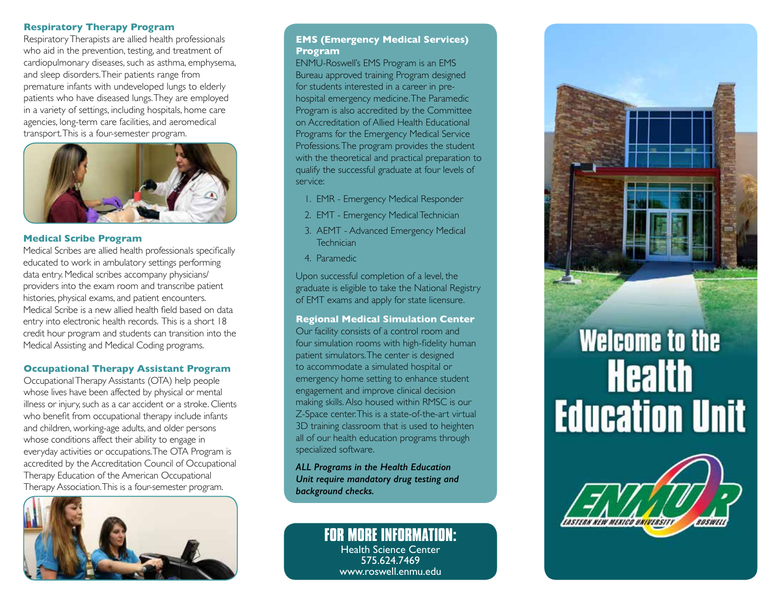## **Respiratory Therapy Program**

Respiratory Therapists are allied health professionals who aid in the prevention, testing, and treatment of cardiopulmonary diseases, such as asthma, emphysema, and sleep disorders. Their patients range from premature infants with undeveloped lungs to elderly patients who have diseased lungs. They are employed in a variety of settings, including hospitals, home care agencies, long-term care facilities, and aeromedical transport. This is a four-semester program.



# **Medical Scribe Program**

Medical Scribes are allied health professionals specifically educated to work in ambulatory settings performing data entry. Medical scribes accompany physicians/ providers into the exam room and transcribe patient histories, physical exams, and patient encounters. Medical Scribe is a new allied health field based on data entry into electronic health records. This is a short 18 credit hour program and students can transition into the Medical Assisting and Medical Coding programs.

# **Occupational Therapy Assistant Program**

Occupational Therapy Assistants (OTA) help people whose lives have been affected by physical or mental illness or injury, such as a car accident or a stroke. Clients who benefit from occupational therapy include infants and children, working-age adults, and older persons whose conditions affect their ability to engage in everyday activities or occupations. The OTA Program is accredited by the Accreditation Council of Occupational Therapy Education of the American Occupational Therapy Association. This is a four-semester program.



# **EMS (Emergency Medical Services) Program**

ENMU-Roswell's EMS Program is an EMS Bureau approved training Program designed for students interested in a career in prehospital emergency medicine. The Paramedic Program is also accredited by the Committee on Accreditation of Allied Health Educational Programs for the Emergency Medical Service Professions. The program provides the student with the theoretical and practical preparation to qualify the successful graduate at four levels of service:

- 1. EMR Emergency Medical Responder
- 2. EMT Emergency Medical Technician
- 3. AEMT Advanced Emergency Medical **Technician**
- 4. Paramedic

Upon successful completion of a level, the graduate is eligible to take the National Registry of EMT exams and apply for state licensure.

## **Regional Medical Simulation Center**

Our facility consists of a control room and four simulation rooms with high-fidelity human patient simulators. The center is designed to accommodate a simulated hospital or emergency home setting to enhance student engagement and improve clinical decision making skills. Also housed within RMSC is our Z-Space center. This is a state-of-the-art virtual 3D training classroom that is used to heighten all of our health education programs through specialized software.

*ALL Programs in the Health Education Unit require mandatory drug testing and background checks.*

> **FOR MORE INFORMATION:** Health Science Center 575.624.7469 www.roswell.enmu.edu